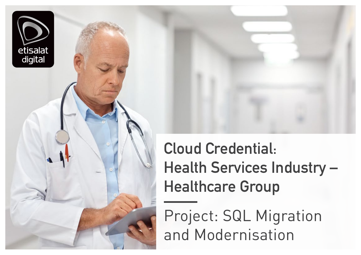

#### **Cloud Credential: Health Services Industry – Healthcare Group**

Project: SQL Migration and Modernisation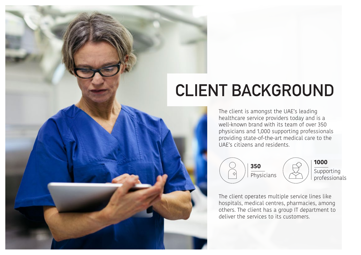### **CLIENT BACKGROUND**

The client is amongst the UAE's leading healthcare service providers today and is a well-known brand with its team of over 350 physicians and 1,000 supporting professionals providing state-of-the-art medical care to the UAE's citizens and residents.



The client operates multiple service lines like hospitals, medical centres, pharmacies, among others. The client has a group IT department to deliver the services to its customers.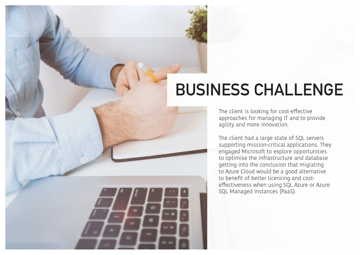### **BUSINESS CHALLENGE**

The client is looking for cost-effective approaches for managing IT and to provide agility and more innovation.

The client had a large state of SQL servers supporting mission-critical applications. They engaged Microsoft to explore opportunities to optimise the infrastructure and database getting into the conclusion that migrating to Azure Cloud would be a good alternative to benefit of better licensing and costeffectiveness when using SQL Azure or Azure SQL Managed Instances (PaaS).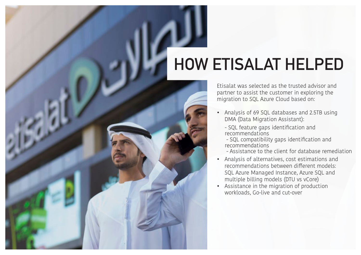## **HOW ETISALAT HELPED**

Etisalat was selected as the trusted advisor and partner to assist the customer in exploring the migration to SQL Azure Cloud based on:

- Analysis of 69 SQL databases and 2.5TB using DMA (Data Migration Assistant):
	- SQL feature gaps identification and recommendations
	- SQL compatibility gaps identification and recommendations
	- Assistance to the client for database remediation
- Analysis of alternatives, cost estimations and recommendations between different models: SQL Azure Managed Instance, Azure SQL and multiple billing models (DTU vs vCore)
- Assistance in the migration of production workloads, Go-live and cut-over